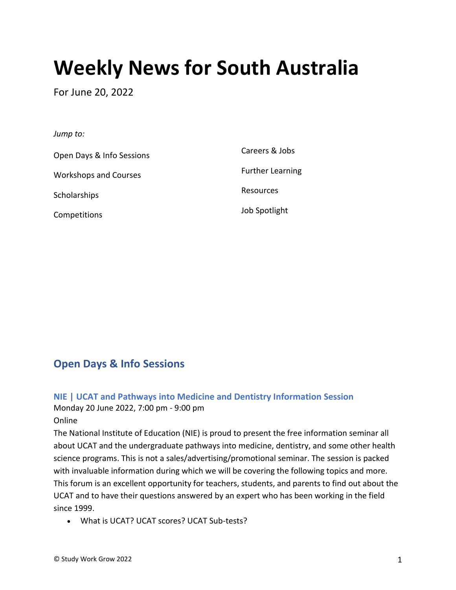# **Weekly News for South Australia**

For June 20, 2022

#### *Jump to:*

[Open Days & Info Sessions](#page-0-0) [Workshops and Courses](#page-4-0) **[Scholarships](#page-5-0)** [Competitions](#page-6-0) [Careers & Jobs](#page-8-0) [Further Learning](#page-12-0) [Resources](#page-14-0) [Job Spotlight](#page-14-1)

# <span id="page-0-0"></span>**Open Days & Info Sessions**

# **NIE | UCAT and Pathways into Medicine and Dentistry Information Session**

Monday 20 June 2022, 7:00 pm - 9:00 pm

#### Online

The National Institute of Education (NIE) is proud to present the free information seminar all about UCAT and the undergraduate pathways into medicine, dentistry, and some other health science programs. This is not a sales/advertising/promotional seminar. The session is packed with invaluable information during which we will be covering the following topics and more. This forum is an excellent opportunity for teachers, students, and parents to find out about the UCAT and to have their questions answered by an expert who has been working in the field since 1999.

• What is UCAT? UCAT scores? UCAT Sub-tests?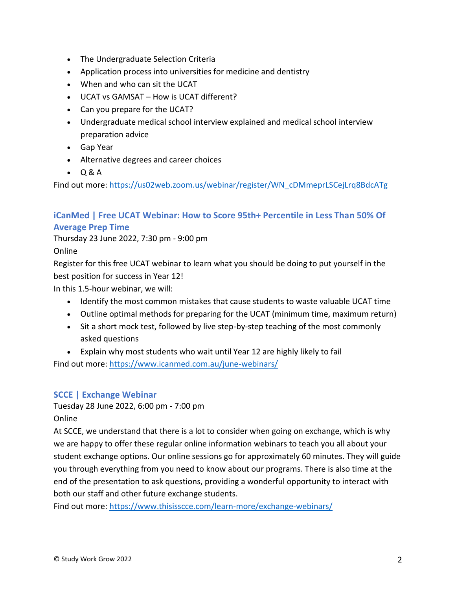- The Undergraduate Selection Criteria
- Application process into universities for medicine and dentistry
- When and who can sit the UCAT
- UCAT vs GAMSAT How is UCAT different?
- Can you prepare for the UCAT?
- Undergraduate medical school interview explained and medical school interview preparation advice
- Gap Year
- Alternative degrees and career choices
- Q & A

Find out more: [https://us02web.zoom.us/webinar/register/WN\\_cDMmeprLSCejLrq8BdcATg](https://us02web.zoom.us/webinar/register/WN_cDMmeprLSCejLrq8BdcATg)

# **iCanMed | Free UCAT Webinar: How to Score 95th+ Percentile in Less Than 50% Of Average Prep Time**

Thursday 23 June 2022, 7:30 pm - 9:00 pm

Online

Register for this free UCAT webinar to learn what you should be doing to put yourself in the best position for success in Year 12!

In this 1.5-hour webinar, we will:

- Identify the most common mistakes that cause students to waste valuable UCAT time
- Outline optimal methods for preparing for the UCAT (minimum time, maximum return)
- Sit a short mock test, followed by live step-by-step teaching of the most commonly asked questions
- Explain why most students who wait until Year 12 are highly likely to fail

Find out more: <https://www.icanmed.com.au/june-webinars/>

# **SCCE | Exchange Webinar**

Tuesday 28 June 2022, 6:00 pm - 7:00 pm Online

At SCCE, we understand that there is a lot to consider when going on exchange, which is why we are happy to offer these regular online information webinars to teach you all about your student exchange options. Our online sessions go for approximately 60 minutes. They will guide you through everything from you need to know about our programs. There is also time at the end of the presentation to ask questions, providing a wonderful opportunity to interact with both our staff and other future exchange students.

Find out more: <https://www.thisisscce.com/learn-more/exchange-webinars/>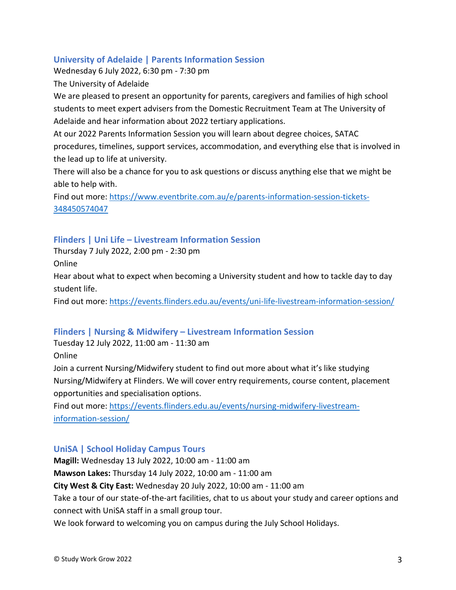# **University of Adelaide | Parents Information Session**

Wednesday 6 July 2022, 6:30 pm - 7:30 pm

The University of Adelaide

We are pleased to present an opportunity for parents, caregivers and families of high school students to meet expert advisers from the Domestic Recruitment Team at The University of Adelaide and hear information about 2022 tertiary applications.

At our 2022 Parents Information Session you will learn about degree choices, SATAC procedures, timelines, support services, accommodation, and everything else that is involved in the lead up to life at university.

There will also be a chance for you to ask questions or discuss anything else that we might be able to help with.

Find out more: [https://www.eventbrite.com.au/e/parents-information-session-tickets-](https://www.eventbrite.com.au/e/parents-information-session-tickets-348450574047)[348450574047](https://www.eventbrite.com.au/e/parents-information-session-tickets-348450574047)

# **Flinders | Uni Life – Livestream Information Session**

Thursday 7 July 2022, 2:00 pm - 2:30 pm

Online

Hear about what to expect when becoming a University student and how to tackle day to day student life.

Find out more: <https://events.flinders.edu.au/events/uni-life-livestream-information-session/>

# **Flinders | Nursing & Midwifery – Livestream Information Session**

Tuesday 12 July 2022, 11:00 am - 11:30 am

Online

Join a current Nursing/Midwifery student to find out more about what it's like studying Nursing/Midwifery at Flinders. We will cover entry requirements, course content, placement opportunities and specialisation options.

Find out more: [https://events.flinders.edu.au/events/nursing-midwifery-livestream](https://events.flinders.edu.au/events/nursing-midwifery-livestream-information-session/)[information-session/](https://events.flinders.edu.au/events/nursing-midwifery-livestream-information-session/)

# **UniSA | School Holiday Campus Tours**

**Magill:** Wednesday 13 July 2022, 10:00 am - 11:00 am

**Mawson Lakes:** Thursday 14 July 2022, 10:00 am - 11:00 am

**City West & City East:** Wednesday 20 July 2022, 10:00 am - 11:00 am

Take a tour of our state-of-the-art facilities, chat to us about your study and career options and connect with UniSA staff in a small group tour.

We look forward to welcoming you on campus during the July School Holidays.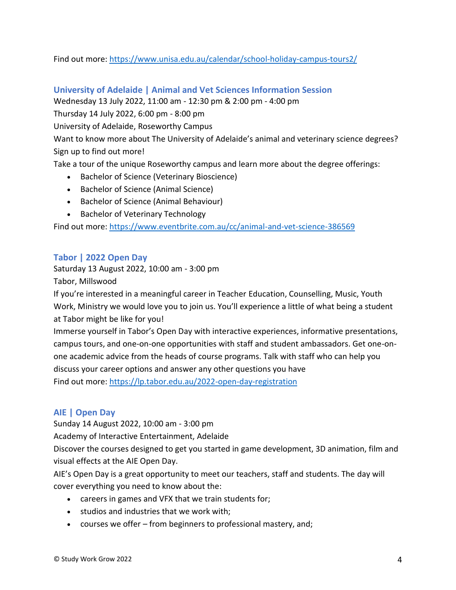# Find out more: <https://www.unisa.edu.au/calendar/school-holiday-campus-tours2/>

# **University of Adelaide | Animal and Vet Sciences Information Session**

Wednesday 13 July 2022, 11:00 am - 12:30 pm & 2:00 pm - 4:00 pm

Thursday 14 July 2022, 6:00 pm - 8:00 pm

University of Adelaide, Roseworthy Campus

Want to know more about The University of Adelaide's animal and veterinary science degrees? Sign up to find out more!

Take a tour of the unique Roseworthy campus and learn more about the degree offerings:

- Bachelor of Science (Veterinary Bioscience)
- Bachelor of Science (Animal Science)
- Bachelor of Science (Animal Behaviour)
- Bachelor of Veterinary Technology

Find out more: <https://www.eventbrite.com.au/cc/animal-and-vet-science-386569>

# **Tabor | 2022 Open Day**

Saturday 13 August 2022, 10:00 am - 3:00 pm

Tabor, Millswood

If you're interested in a meaningful career in Teacher Education, Counselling, Music, Youth Work, Ministry we would love you to join us. You'll experience a little of what being a student at Tabor might be like for you!

Immerse yourself in Tabor's Open Day with interactive experiences, informative presentations, campus tours, and one-on-one opportunities with staff and student ambassadors. Get one-onone academic advice from the heads of course programs. Talk with staff who can help you discuss your career options and answer any other questions you have Find out more: <https://lp.tabor.edu.au/2022-open-day-registration>

# **AIE | Open Day**

Sunday 14 August 2022, 10:00 am - 3:00 pm

Academy of Interactive Entertainment, Adelaide

Discover the courses designed to get you started in game development, 3D animation, film and visual effects at the AIE Open Day.

AIE's Open Day is a great opportunity to meet our teachers, staff and students. The day will cover everything you need to know about the:

- careers in games and VFX that we train students for;
- studios and industries that we work with;
- courses we offer from beginners to professional mastery, and;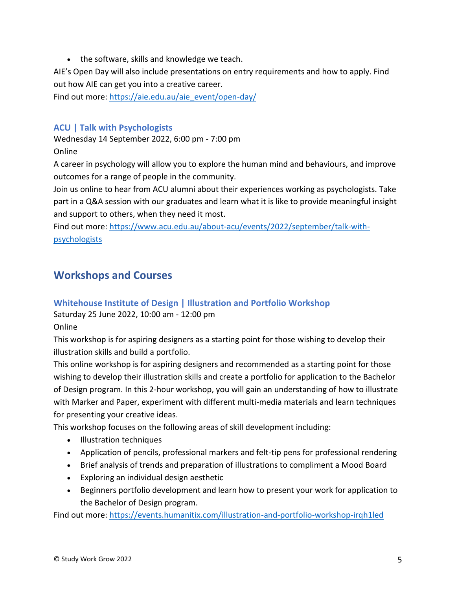• the software, skills and knowledge we teach.

AIE's Open Day will also include presentations on entry requirements and how to apply. Find out how AIE can get you into a creative career.

Find out more: [https://aie.edu.au/aie\\_event/open-day/](https://aie.edu.au/aie_event/open-day/)

# **ACU | Talk with Psychologists**

Wednesday 14 September 2022, 6:00 pm - 7:00 pm Online

A career in psychology will allow you to explore the human mind and behaviours, and improve outcomes for a range of people in the community.

Join us online to hear from ACU alumni about their experiences working as psychologists. Take part in a Q&A session with our graduates and learn what it is like to provide meaningful insight and support to others, when they need it most.

Find out more: [https://www.acu.edu.au/about-acu/events/2022/september/talk-with](https://www.acu.edu.au/about-acu/events/2022/september/talk-with-psychologists)[psychologists](https://www.acu.edu.au/about-acu/events/2022/september/talk-with-psychologists)

# <span id="page-4-0"></span>**Workshops and Courses**

# **Whitehouse Institute of Design | Illustration and Portfolio Workshop**

Saturday 25 June 2022, 10:00 am - 12:00 pm

Online

This workshop is for aspiring designers as a starting point for those wishing to develop their illustration skills and build a portfolio.

This online workshop is for aspiring designers and recommended as a starting point for those wishing to develop their illustration skills and create a portfolio for application to the Bachelor of Design program. In this 2-hour workshop, you will gain an understanding of how to illustrate with Marker and Paper, experiment with different multi-media materials and learn techniques for presenting your creative ideas.

This workshop focuses on the following areas of skill development including:

- Illustration techniques
- Application of pencils, professional markers and felt-tip pens for professional rendering
- Brief analysis of trends and preparation of illustrations to compliment a Mood Board
- Exploring an individual design aesthetic
- Beginners portfolio development and learn how to present your work for application to the Bachelor of Design program.

Find out more: <https://events.humanitix.com/illustration-and-portfolio-workshop-irqh1led>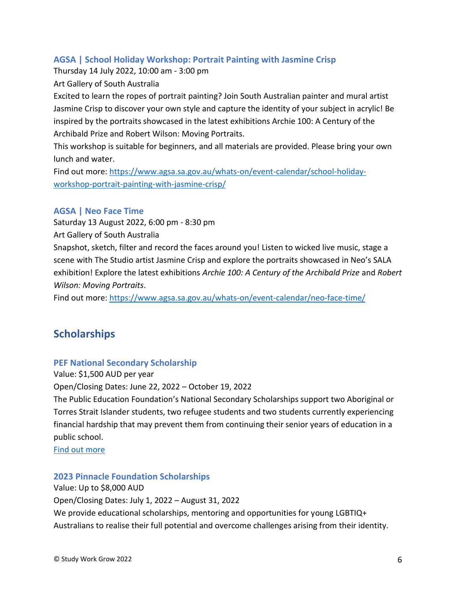# **AGSA | School Holiday Workshop: Portrait Painting with Jasmine Crisp**

Thursday 14 July 2022, 10:00 am - 3:00 pm

Art Gallery of South Australia

Excited to learn the ropes of portrait painting? Join South Australian painter and mural artist Jasmine Crisp to discover your own style and capture the identity of your subject in acrylic! Be inspired by the portraits showcased in the latest exhibitions Archie 100: A Century of the Archibald Prize and Robert Wilson: Moving Portraits.

This workshop is suitable for beginners, and all materials are provided. Please bring your own lunch and water.

Find out more: [https://www.agsa.sa.gov.au/whats-on/event-calendar/school-holiday](https://www.agsa.sa.gov.au/whats-on/event-calendar/school-holiday-workshop-portrait-painting-with-jasmine-crisp/)[workshop-portrait-painting-with-jasmine-crisp/](https://www.agsa.sa.gov.au/whats-on/event-calendar/school-holiday-workshop-portrait-painting-with-jasmine-crisp/)

# **AGSA | Neo Face Time**

Saturday 13 August 2022, 6:00 pm - 8:30 pm

Art Gallery of South Australia

Snapshot, sketch, filter and record the faces around you! Listen to wicked live music, stage a scene with The Studio artist Jasmine Crisp and explore the portraits showcased in Neo's SALA exhibition! Explore the latest exhibitions *Archie 100: A Century of the Archibald Prize* and *Robert Wilson: Moving Portraits*.

Find out more: <https://www.agsa.sa.gov.au/whats-on/event-calendar/neo-face-time/>

# <span id="page-5-0"></span>**Scholarships**

# **PEF National Secondary Scholarship**

Value: \$1,500 AUD per year

Open/Closing Dates: June 22, 2022 – October 19, 2022

The Public Education Foundation's National Secondary Scholarships support two Aboriginal or Torres Strait Islander students, two refugee students and two students currently experiencing financial hardship that may prevent them from continuing their senior years of education in a public school.

[Find out more](https://www.publiceducationfoundation.org.au/pef-national-secondary-scholarship/)

#### **2023 Pinnacle Foundation Scholarships**

Value: Up to \$8,000 AUD Open/Closing Dates: July 1, 2022 – August 31, 2022 We provide educational scholarships, mentoring and opportunities for young LGBTIQ+ Australians to realise their full potential and overcome challenges arising from their identity.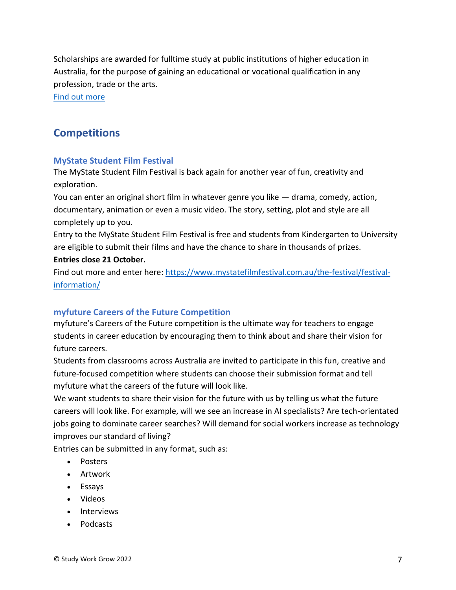Scholarships are awarded for fulltime study at public institutions of higher education in Australia, for the purpose of gaining an educational or vocational qualification in any profession, trade or the arts.

[Find out more](https://thepinnaclefoundation.org/our-scholars/apply-for-a-scholarship/)

# <span id="page-6-0"></span>**Competitions**

#### **MyState Student Film Festival**

The MyState Student Film Festival is back again for another year of fun, creativity and exploration.

You can enter an original short film in whatever genre you like — drama, comedy, action, documentary, animation or even a music video. The story, setting, plot and style are all completely up to you.

Entry to the MyState Student Film Festival is free and students from Kindergarten to University are eligible to submit their films and have the chance to share in thousands of prizes. **Entries close 21 October.**

Find out more and enter here: [https://www.mystatefilmfestival.com.au/the-festival/festival](https://www.mystatefilmfestival.com.au/the-festival/festival-information/)[information/](https://www.mystatefilmfestival.com.au/the-festival/festival-information/)

# **myfuture Careers of the Future Competition**

myfuture's Careers of the Future competition is the ultimate way for teachers to engage students in career education by encouraging them to think about and share their vision for future careers.

Students from classrooms across Australia are invited to participate in this fun, creative and future-focused competition where students can choose their submission format and tell myfuture what the careers of the future will look like.

We want students to share their vision for the future with us by telling us what the future careers will look like. For example, will we see an increase in AI specialists? Are tech-orientated jobs going to dominate career searches? Will demand for social workers increase as technology improves our standard of living?

Entries can be submitted in any format, such as:

- Posters
- Artwork
- Essays
- Videos
- Interviews
- Podcasts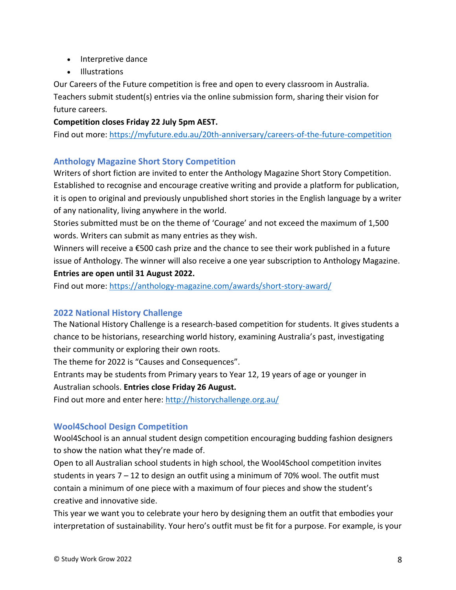- Interpretive dance
- Illustrations

Our Careers of the Future competition is free and open to every classroom in Australia. Teachers submit student(s) entries via the online submission form, sharing their vision for future careers.

#### **Competition closes Friday 22 July 5pm AEST.**

Find out more: <https://myfuture.edu.au/20th-anniversary/careers-of-the-future-competition>

#### **Anthology Magazine Short Story Competition**

Writers of short fiction are invited to enter the Anthology Magazine Short Story Competition. Established to recognise and encourage creative writing and provide a platform for publication, it is open to original and previously unpublished short stories in the English language by a writer of any nationality, living anywhere in the world.

Stories submitted must be on the theme of 'Courage' and not exceed the maximum of 1,500 words. Writers can submit as many entries as they wish.

Winners will receive a €500 cash prize and the chance to see their work published in a future issue of Anthology. The winner will also receive a one year subscription to Anthology Magazine. **Entries are open until 31 August 2022.**

Find out more: <https://anthology-magazine.com/awards/short-story-award/>

# **2022 National History Challenge**

The National History Challenge is a research-based competition for students. It gives students a chance to be historians, researching world history, examining Australia's past, investigating their community or exploring their own roots.

The theme for 2022 is "Causes and Consequences".

Entrants may be students from Primary years to Year 12, 19 years of age or younger in Australian schools. **Entries close Friday 26 August.**

Find out more and enter here: <http://historychallenge.org.au/>

# **Wool4School Design Competition**

Wool4School is an annual student design competition encouraging budding fashion designers to show the nation what they're made of.

Open to all Australian school students in high school, the Wool4School competition invites students in years  $7 - 12$  to design an outfit using a minimum of 70% wool. The outfit must contain a minimum of one piece with a maximum of four pieces and show the student's creative and innovative side.

This year we want you to celebrate your hero by designing them an outfit that embodies your interpretation of sustainability. Your hero's outfit must be fit for a purpose. For example, is your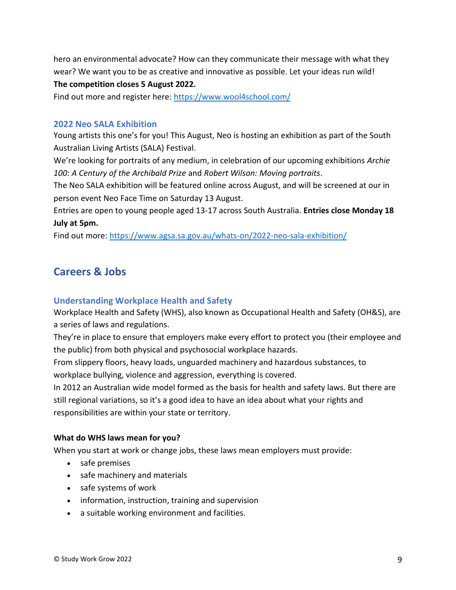hero an environmental advocate? How can they communicate their message with what they wear? We want you to be as creative and innovative as possible. Let your ideas run wild! **The competition closes 5 August 2022.**

Find out more and register here: <https://www.wool4school.com/>

#### **2022 Neo SALA Exhibition**

Young artists this one's for you! This August, Neo is hosting an exhibition as part of the South Australian Living Artists (SALA) Festival.

We're looking for portraits of any medium, in celebration of our upcoming exhibitions *Archie 100: A Century of the Archibald Prize* and *Robert Wilson: Moving portraits*.

The Neo SALA exhibition will be featured online across August, and will be screened at our in person event Neo Face Time on Saturday 13 August.

Entries are open to young people aged 13-17 across South Australia. **Entries close Monday 18 July at 5pm.**

Find out more: <https://www.agsa.sa.gov.au/whats-on/2022-neo-sala-exhibition/>

# <span id="page-8-0"></span>**Careers & Jobs**

# **Understanding Workplace Health and Safety**

Workplace Health and Safety (WHS), also known as Occupational Health and Safety (OH&S), are a series of laws and regulations.

They're in place to ensure that employers make every effort to protect you (their employee and the public) from both physical and psychosocial workplace hazards.

From slippery floors, heavy loads, unguarded machinery and hazardous substances, to workplace bullying, violence and aggression, everything is covered.

In 2012 an Australian wide model formed as the basis for health and safety laws. But there are still regional variations, so it's a good idea to have an idea about what your rights and responsibilities are within your state or territory.

#### **What do WHS laws mean for you?**

When you start at work or change jobs, these laws mean employers must provide:

- safe premises
- safe machinery and materials
- safe systems of work
- information, instruction, training and supervision
- a suitable working environment and facilities.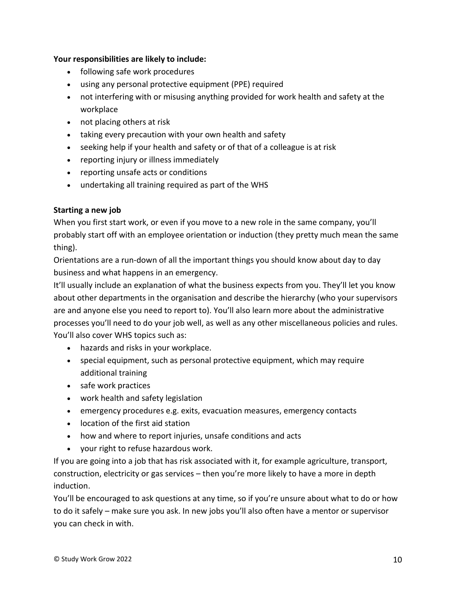#### **Your responsibilities are likely to include:**

- following safe work procedures
- using any personal protective equipment (PPE) required
- not interfering with or misusing anything provided for work health and safety at the workplace
- not placing others at risk
- taking every precaution with your own health and safety
- seeking help if your health and safety or of that of a colleague is at risk
- reporting injury or illness immediately
- reporting unsafe acts or conditions
- undertaking all training required as part of the WHS

#### **Starting a new job**

When you first start work, or even if you move to a new role in the same company, you'll probably start off with an employee orientation or induction (they pretty much mean the same thing).

Orientations are a run-down of all the important things you should know about day to day business and what happens in an emergency.

It'll usually include an explanation of what the business expects from you. They'll let you know about other departments in the organisation and describe the hierarchy (who your supervisors are and anyone else you need to report to). You'll also learn more about the administrative processes you'll need to do your job well, as well as any other miscellaneous policies and rules. You'll also cover WHS topics such as:

- hazards and risks in your workplace.
- special equipment, such as personal protective equipment, which may require additional training
- safe work practices
- work health and safety legislation
- emergency procedures e.g. exits, evacuation measures, emergency contacts
- location of the first aid station
- how and where to report injuries, unsafe conditions and acts
- your right to refuse hazardous work.

If you are going into a job that has risk associated with it, for example agriculture, transport, construction, electricity or gas services – then you're more likely to have a more in depth induction.

You'll be encouraged to ask questions at any time, so if you're unsure about what to do or how to do it safely – make sure you ask. In new jobs you'll also often have a mentor or supervisor you can check in with.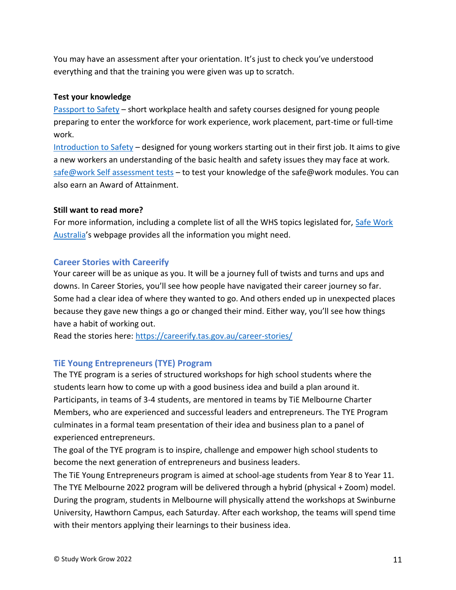You may have an assessment after your orientation. It's just to check you've understood everything and that the training you were given was up to scratch.

#### **Test your knowledge**

[Passport to Safety](http://www.passporttosafety.com.au/) – short workplace health and safety courses designed for young people preparing to enter the workforce for work experience, work placement, part-time or full-time work.

[Introduction to Safety](https://www.safework.sa.gov.au/resources/online-activities/introduction-to-safety-tutorial) – designed for young workers starting out in their first job. It aims to give a new workers an understanding of the basic health and safety issues they may face at work. [safe@work Self assessment tests](https://www.education.vic.gov.au/school/students/beyond/Pages/quiz.aspx) – to test your knowledge of the safe@work modules. You can also earn an Award of Attainment.

#### **Still want to read more?**

For more information, including a complete list of all the WHS topics legislated for, [Safe Work](https://www.safeworkaustralia.gov.au/)  [Australia](https://www.safeworkaustralia.gov.au/)'s webpage provides all the information you might need.

#### **Career Stories with Careerify**

Your career will be as unique as you. It will be a journey full of twists and turns and ups and downs. In Career Stories, you'll see how people have navigated their career journey so far. Some had a clear idea of where they wanted to go. And others ended up in unexpected places because they gave new things a go or changed their mind. Either way, you'll see how things have a habit of working out.

Read the stories here: <https://careerify.tas.gov.au/career-stories/>

#### **TiE Young Entrepreneurs (TYE) Program**

The TYE program is a series of structured workshops for high school students where the students learn how to come up with a good business idea and build a plan around it. Participants, in teams of 3-4 students, are mentored in teams by TiE Melbourne Charter Members, who are experienced and successful leaders and entrepreneurs. The TYE Program culminates in a formal team presentation of their idea and business plan to a panel of experienced entrepreneurs.

The goal of the TYE program is to inspire, challenge and empower high school students to become the next generation of entrepreneurs and business leaders.

The TiE Young Entrepreneurs program is aimed at school-age students from Year 8 to Year 11. The TYE Melbourne 2022 program will be delivered through a hybrid (physical + Zoom) model. During the program, students in Melbourne will physically attend the workshops at Swinburne University, Hawthorn Campus, each Saturday. After each workshop, the teams will spend time with their mentors applying their learnings to their business idea.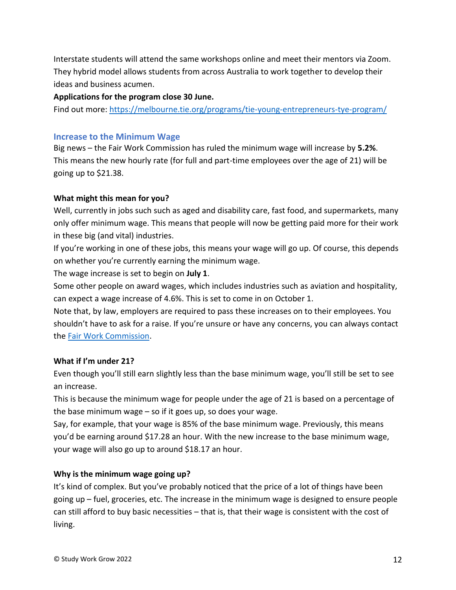Interstate students will attend the same workshops online and meet their mentors via Zoom. They hybrid model allows students from across Australia to work together to develop their ideas and business acumen.

**Applications for the program close 30 June.**

Find out more: <https://melbourne.tie.org/programs/tie-young-entrepreneurs-tye-program/>

#### **Increase to the Minimum Wage**

Big news – the Fair Work Commission has ruled the minimum wage will increase by **5.2%**. This means the new hourly rate (for full and part-time employees over the age of 21) will be going up to \$21.38.

#### **What might this mean for you?**

Well, currently in jobs such such as aged and disability care, fast food, and supermarkets, many only offer minimum wage. This means that people will now be getting paid more for their work in these big (and vital) industries.

If you're working in one of these jobs, this means your wage will go up. Of course, this depends on whether you're currently earning the minimum wage.

The wage increase is set to begin on **July 1**.

Some other people on award wages, which includes industries such as aviation and hospitality, can expect a wage increase of 4.6%. This is set to come in on October 1.

Note that, by law, employers are required to pass these increases on to their employees. You shouldn't have to ask for a raise. If you're unsure or have any concerns, you can always contact the [Fair Work Commission.](https://www.fwc.gov.au/)

#### **What if I'm under 21?**

Even though you'll still earn slightly less than the base minimum wage, you'll still be set to see an increase.

This is because the minimum wage for people under the age of 21 is based on a percentage of the base minimum wage – so if it goes up, so does your wage.

Say, for example, that your wage is 85% of the base minimum wage. Previously, this means you'd be earning around \$17.28 an hour. With the new increase to the base minimum wage, your wage will also go up to around \$18.17 an hour.

# **Why is the minimum wage going up?**

It's kind of complex. But you've probably noticed that the price of a lot of things have been going up – fuel, groceries, etc. The increase in the minimum wage is designed to ensure people can still afford to buy basic necessities – that is, that their wage is consistent with the cost of living.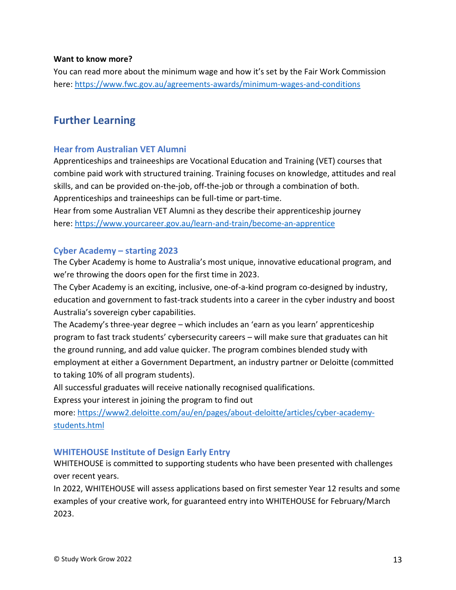#### **Want to know more?**

You can read more about the minimum wage and how it's set by the Fair Work Commission here: <https://www.fwc.gov.au/agreements-awards/minimum-wages-and-conditions>

# <span id="page-12-0"></span>**Further Learning**

#### **Hear from Australian VET Alumni**

Apprenticeships and traineeships are Vocational Education and Training (VET) courses that combine paid work with structured training. Training focuses on knowledge, attitudes and real skills, and can be provided on-the-job, off-the-job or through a combination of both. Apprenticeships and traineeships can be full-time or part-time.

Hear from some Australian VET Alumni as they describe their apprenticeship journey here: <https://www.yourcareer.gov.au/learn-and-train/become-an-apprentice>

#### **Cyber Academy – starting 2023**

The Cyber Academy is home to Australia's most unique, innovative educational program, and we're throwing the doors open for the first time in 2023.

The Cyber Academy is an exciting, inclusive, one-of-a-kind program co-designed by industry, education and government to fast-track students into a career in the cyber industry and boost Australia's sovereign cyber capabilities.

The Academy's three-year degree – which includes an 'earn as you learn' apprenticeship program to fast track students' cybersecurity careers – will make sure that graduates can hit the ground running, and add value quicker. The program combines blended study with employment at either a Government Department, an industry partner or Deloitte (committed to taking 10% of all program students).

All successful graduates will receive nationally recognised qualifications.

Express your interest in joining the program to find out

more: [https://www2.deloitte.com/au/en/pages/about-deloitte/articles/cyber-academy](https://www2.deloitte.com/au/en/pages/about-deloitte/articles/cyber-academy-students.html)[students.html](https://www2.deloitte.com/au/en/pages/about-deloitte/articles/cyber-academy-students.html)

#### **WHITEHOUSE Institute of Design Early Entry**

WHITEHOUSE is committed to supporting students who have been presented with challenges over recent years.

In 2022, WHITEHOUSE will assess applications based on first semester Year 12 results and some examples of your creative work, for guaranteed entry into WHITEHOUSE for February/March 2023.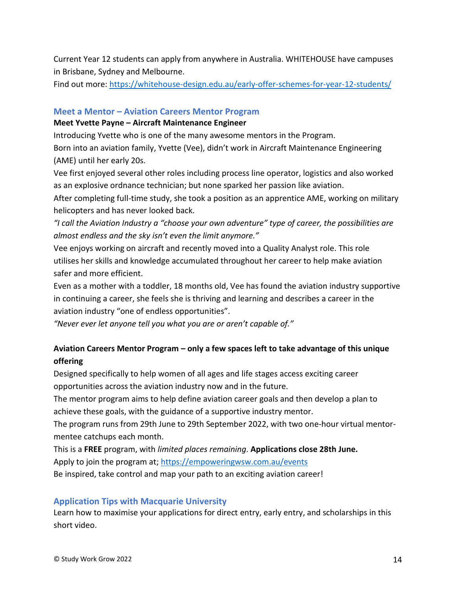Current Year 12 students can apply from anywhere in Australia. WHITEHOUSE have campuses in Brisbane, Sydney and Melbourne.

Find out more: <https://whitehouse-design.edu.au/early-offer-schemes-for-year-12-students/>

#### **Meet a Mentor – Aviation Careers Mentor Program**

#### **Meet Yvette Payne – Aircraft Maintenance Engineer**

Introducing Yvette who is one of the many awesome mentors in the Program.

Born into an aviation family, Yvette (Vee), didn't work in Aircraft Maintenance Engineering (AME) until her early 20s.

Vee first enjoyed several other roles including process line operator, logistics and also worked as an explosive ordnance technician; but none sparked her passion like aviation.

After completing full-time study, she took a position as an apprentice AME, working on military helicopters and has never looked back.

*"I call the Aviation Industry a "choose your own adventure" type of career, the possibilities are almost endless and the sky isn't even the limit anymore."*

Vee enjoys working on aircraft and recently moved into a Quality Analyst role. This role utilises her skills and knowledge accumulated throughout her career to help make aviation safer and more efficient.

Even as a mother with a toddler, 18 months old, Vee has found the aviation industry supportive in continuing a career, she feels she is thriving and learning and describes a career in the aviation industry "one of endless opportunities".

*"Never ever let anyone tell you what you are or aren't capable of."*

# **Aviation Careers Mentor Program – only a few spaces left to take advantage of this unique offering**

Designed specifically to help women of all ages and life stages access exciting career opportunities across the aviation industry now and in the future.

The mentor program aims to help define aviation career goals and then develop a plan to achieve these goals, with the guidance of a supportive industry mentor.

The program runs from 29th June to 29th September 2022, with two one-hour virtual mentormentee catchups each month.

This is a **FREE** program, with *limited places remaining*. **Applications close 28th June.** Apply to join the program at; <https://empoweringwsw.com.au/events>

Be inspired, take control and map your path to an exciting aviation career!

# **Application Tips with Macquarie University**

Learn how to maximise your applications for direct entry, early entry, and scholarships in this short video.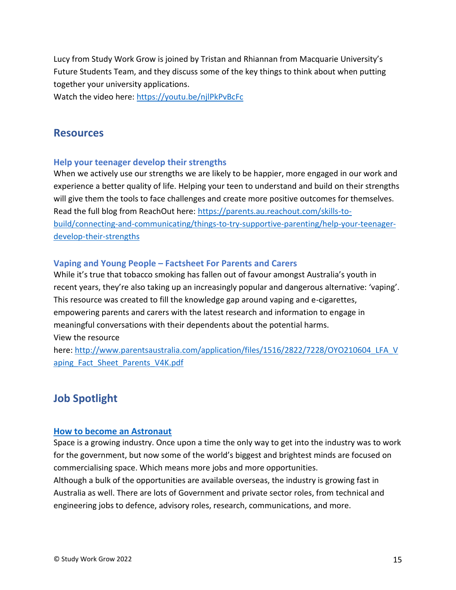Lucy from Study Work Grow is joined by Tristan and Rhiannan from Macquarie University's Future Students Team, and they discuss some of the key things to think about when putting together your university applications.

Watch the video here:<https://youtu.be/njlPkPvBcFc>

# <span id="page-14-0"></span>**Resources**

#### **Help your teenager develop their strengths**

When we actively use our strengths we are likely to be happier, more engaged in our work and experience a better quality of life. Helping your teen to understand and build on their strengths will give them the tools to face challenges and create more positive outcomes for themselves. Read the full blog from ReachOut here: [https://parents.au.reachout.com/skills-to](https://parents.au.reachout.com/skills-to-build/connecting-and-communicating/things-to-try-supportive-parenting/help-your-teenager-develop-their-strengths)[build/connecting-and-communicating/things-to-try-supportive-parenting/help-your-teenager](https://parents.au.reachout.com/skills-to-build/connecting-and-communicating/things-to-try-supportive-parenting/help-your-teenager-develop-their-strengths)[develop-their-strengths](https://parents.au.reachout.com/skills-to-build/connecting-and-communicating/things-to-try-supportive-parenting/help-your-teenager-develop-their-strengths)

#### **Vaping and Young People – Factsheet For Parents and Carers**

While it's true that tobacco smoking has fallen out of favour amongst Australia's youth in recent years, they're also taking up an increasingly popular and dangerous alternative: 'vaping'. This resource was created to fill the knowledge gap around vaping and e-cigarettes, empowering parents and carers with the latest research and information to engage in meaningful conversations with their dependents about the potential harms. View the resource

here: [http://www.parentsaustralia.com/application/files/1516/2822/7228/OYO210604\\_LFA\\_V](http://www.parentsaustralia.com/application/files/1516/2822/7228/OYO210604_LFA_Vaping_Fact_Sheet_Parents_V4K.pdf) aping Fact Sheet Parents V4K.pdf

# <span id="page-14-1"></span>**Job Spotlight**

#### **[How to become an Astronaut](https://studyworkgrow.com.au/2022/06/16/astronaut/)**

Space is a growing industry. Once upon a time the only way to get into the industry was to work for the government, but now some of the world's biggest and brightest minds are focused on commercialising space. Which means more jobs and more opportunities.

Although a bulk of the opportunities are available overseas, the industry is growing fast in Australia as well. There are lots of Government and private sector roles, from technical and engineering jobs to defence, advisory roles, research, communications, and more.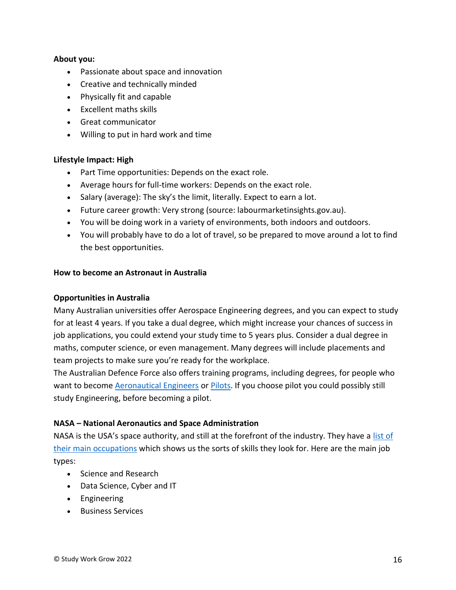#### **About you:**

- Passionate about space and innovation
- Creative and technically minded
- Physically fit and capable
- Excellent maths skills
- Great communicator
- Willing to put in hard work and time

#### **Lifestyle Impact: High**

- Part Time opportunities: Depends on the exact role.
- Average hours for full-time workers: Depends on the exact role.
- Salary (average): The sky's the limit, literally. Expect to earn a lot.
- Future career growth: Very strong (source: labourmarketinsights.gov.au).
- You will be doing work in a variety of environments, both indoors and outdoors.
- You will probably have to do a lot of travel, so be prepared to move around a lot to find the best opportunities.

#### **How to become an Astronaut in Australia**

#### **Opportunities in Australia**

Many Australian universities offer Aerospace Engineering degrees, and you can expect to study for at least 4 years. If you take a dual degree, which might increase your chances of success in job applications, you could extend your study time to 5 years plus. Consider a dual degree in maths, computer science, or even management. Many degrees will include placements and team projects to make sure you're ready for the workplace.

The Australian Defence Force also offers training programs, including degrees, for people who want to become [Aeronautical Engineers](https://www.defencejobs.gov.au/jobs/Air-Force/aeronautical-engineer) or [Pilots.](https://www.defencejobs.gov.au/jobs/Air-Force/pilot) If you choose pilot you could possibly still study Engineering, before becoming a pilot.

#### **NASA – National Aeronautics and Space Administration**

NASA is the USA's space authority, and still at the forefront of the industry. They have a [list of](https://www.nasa.gov/careers/featured-careers)  [their main occupations](https://www.nasa.gov/careers/featured-careers) which shows us the sorts of skills they look for. Here are the main job types:

- Science and Research
- Data Science, Cyber and IT
- Engineering
- Business Services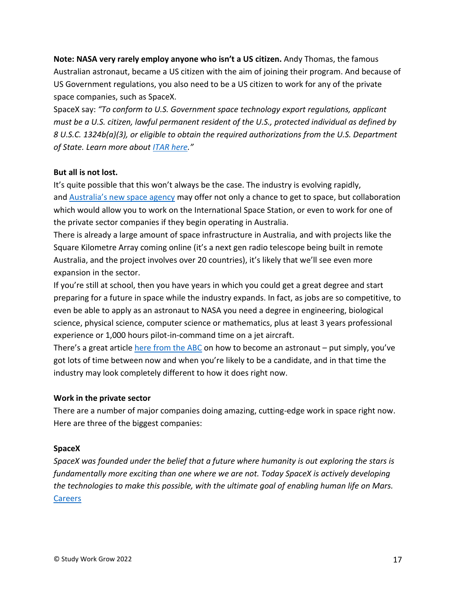**Note: NASA very rarely employ anyone who isn't a US citizen.** Andy Thomas, the famous Australian astronaut, became a US citizen with the aim of joining their program. And because of US Government regulations, you also need to be a US citizen to work for any of the private space companies, such as SpaceX.

SpaceX say: *"To conform to U.S. Government space technology export regulations, applicant must be a U.S. citizen, lawful permanent resident of the U.S., protected individual as defined by 8 U.S.C. 1324b(a)(3), or eligible to obtain the required authorizations from the U.S. Department of State. Learn more about [ITAR here](https://www.pmddtc.state.gov/ddtc_public?id=ddtc_public_portal_itar_landing)."*

#### **But all is not lost.**

It's quite possible that this won't always be the case. The industry is evolving rapidly, and [Australia's new space agency](https://www.industry.gov.au/policies-and-initiatives/australian-space-agency) may offer not only a chance to get to space, but collaboration which would allow you to work on the International Space Station, or even to work for one of the private sector companies if they begin operating in Australia.

There is already a large amount of space infrastructure in Australia, and with projects like the Square Kilometre Array coming online (it's a next gen radio telescope being built in remote Australia, and the project involves over 20 countries), it's likely that we'll see even more expansion in the sector.

If you're still at school, then you have years in which you could get a great degree and start preparing for a future in space while the industry expands. In fact, as jobs are so competitive, to even be able to apply as an astronaut to NASA you need a degree in engineering, biological science, physical science, computer science or mathematics, plus at least 3 years professional experience or 1,000 hours pilot-in-command time on a jet aircraft.

There's a great article [here from the ABC](http://www.abc.net.au/news/science/2017-09-27/how-to-become-an-astronaut/8988574) on how to become an astronaut – put simply, you've got lots of time between now and when you're likely to be a candidate, and in that time the industry may look completely different to how it does right now.

#### **Work in the private sector**

There are a number of major companies doing amazing, cutting-edge work in space right now. Here are three of the biggest companies:

#### **SpaceX**

*SpaceX was founded under the belief that a future where humanity is out exploring the stars is fundamentally more exciting than one where we are not. Today SpaceX is actively developing the technologies to make this possible, with the ultimate goal of enabling human life on Mars.* [Careers](http://www.spacex.com/careers)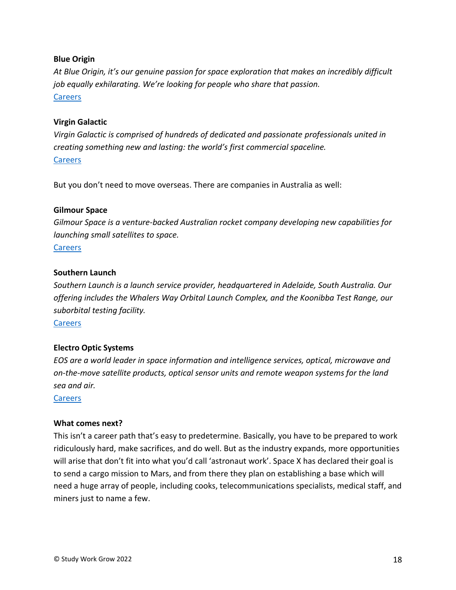#### **Blue Origin**

*At Blue Origin, it's our genuine passion for space exploration that makes an incredibly difficult job equally exhilarating. We're looking for people who share that passion.* [Careers](https://www.blueorigin.com/careers)

#### **Virgin Galactic**

*Virgin Galactic is comprised of hundreds of dedicated and passionate professionals united in creating something new and lasting: the world's first commercial spaceline.* **[Careers](https://careers-virgingalactic.icims.com/jobs/intro?hashed=-435771411&mobile=false&width=692&height=500&bga=true&needsRedirect=false&jan1offset=0&jun1offset=60)** 

But you don't need to move overseas. There are companies in Australia as well:

#### **Gilmour Space**

*Gilmour Space is a venture-backed Australian rocket company developing new capabilities for launching small satellites to space.*

#### [Careers](https://www.gspacetech.com/career)

#### **Southern Launch**

*Southern Launch is a launch service provider, headquartered in Adelaide, South Australia. Our offering includes the Whalers Way Orbital Launch Complex, and the Koonibba Test Range, our suborbital testing facility.*

**[Careers](https://www.southernlaunch.space/careers)** 

#### **Electro Optic Systems**

*EOS are a world leader in space information and intelligence services, optical, microwave and on-the-move satellite products, optical sensor units and remote weapon systems for the land sea and air.*

[Careers](https://www.eos-aus.com/careers)

#### **What comes next?**

This isn't a career path that's easy to predetermine. Basically, you have to be prepared to work ridiculously hard, make sacrifices, and do well. But as the industry expands, more opportunities will arise that don't fit into what you'd call 'astronaut work'. Space X has declared their goal is to send a cargo mission to Mars, and from there they plan on establishing a base which will need a huge array of people, including cooks, telecommunications specialists, medical staff, and miners just to name a few.